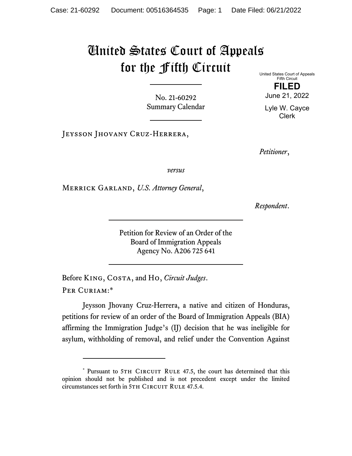## United States Court of Appeals for the Fifth Circuit

No. 21-60292 Summary Calendar United States Court of Appeals Fifth Circuit

**FILED**  June 21, 2022

Lyle W. Cayce Clerk

JEYSSON JHOVANY CRUZ-HERRERA,

*Petitioner*,

*versus*

Merrick Garland, *U.S. Attorney General*,

*Respondent*.

Petition for Review of an Order of the Board of Immigration Appeals Agency No. A206 725 641

Before King, Costa, and Ho, *Circuit Judges*. Per Curiam:\*

Jeysson Jhovany Cruz-Herrera, a native and citizen of Honduras, petitions for review of an order of the Board of Immigration Appeals (BIA) affirming the Immigration Judge's (IJ) decision that he was ineligible for asylum, withholding of removal, and relief under the Convention Against

<sup>\*</sup> Pursuant to 5TH CIRCUIT RULE 47.5, the court has determined that this opinion should not be published and is not precedent except under the limited circumstances set forth in 5TH CIRCUIT RULE 47.5.4.